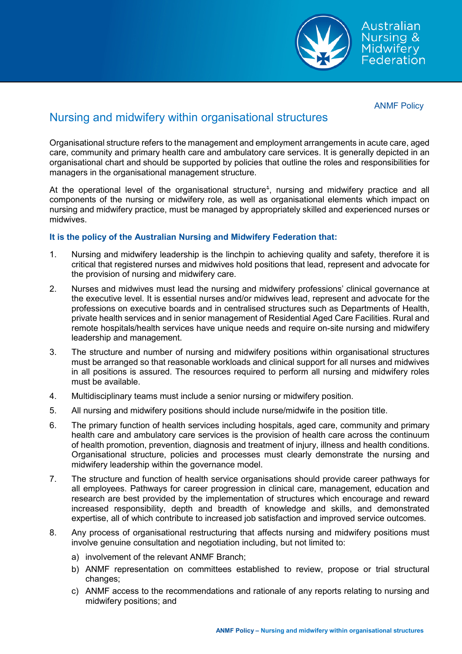

Australian **Nursing & Midwifery** Federation

ANMF Policy

## Nursing and midwifery within organisational structures

Organisational structure refers to the management and employment arrangements in acute care, aged care, community and primary health care and ambulatory care services. It is generally depicted in an organisational chart and should be supported by policies that outline the roles and responsibilities for managers in the organisational management structure.

At the operational level of the organisational structure $^{\text{\tiny 4}}$ , nursing and midwifery practice and all components of the nursing or midwifery role, as well as organisational elements which impact on nursing and midwifery practice, must be managed by appropriately skilled and experienced nurses or midwives.

## **It is the policy of the Australian Nursing and Midwifery Federation that:**

- 1. Nursing and midwifery leadership is the linchpin to achieving quality and safety, therefore it is critical that registered nurses and midwives hold positions that lead, represent and advocate for the provision of nursing and midwifery care.
- 2. Nurses and midwives must lead the nursing and midwifery professions' clinical governance at the executive level. It is essential nurses and/or midwives lead, represent and advocate for the professions on executive boards and in centralised structures such as Departments of Health, private health services and in senior management of Residential Aged Care Facilities. Rural and remote hospitals/health services have unique needs and require on-site nursing and midwifery leadership and management.
- 3. The structure and number of nursing and midwifery positions within organisational structures must be arranged so that reasonable workloads and clinical support for all nurses and midwives in all positions is assured. The resources required to perform all nursing and midwifery roles must be available.
- 4. Multidisciplinary teams must include a senior nursing or midwifery position.
- 5. All nursing and midwifery positions should include nurse/midwife in the position title.
- 6. The primary function of health services including hospitals, aged care, community and primary health care and ambulatory care services is the provision of health care across the continuum of health promotion, prevention, diagnosis and treatment of injury, illness and health conditions. Organisational structure, policies and processes must clearly demonstrate the nursing and midwifery leadership within the governance model.
- 7. The structure and function of health service organisations should provide career pathways for all employees. Pathways for career progression in clinical care, management, education and research are best provided by the implementation of structures which encourage and reward increased responsibility, depth and breadth of knowledge and skills, and demonstrated expertise, all of which contribute to increased job satisfaction and improved service outcomes.
- 8. Any process of organisational restructuring that affects nursing and midwifery positions must involve genuine consultation and negotiation including, but not limited to:
	- a) involvement of the relevant ANMF Branch;
	- b) ANMF representation on committees established to review, propose or trial structural changes;
	- c) ANMF access to the recommendations and rationale of any reports relating to nursing and midwifery positions; and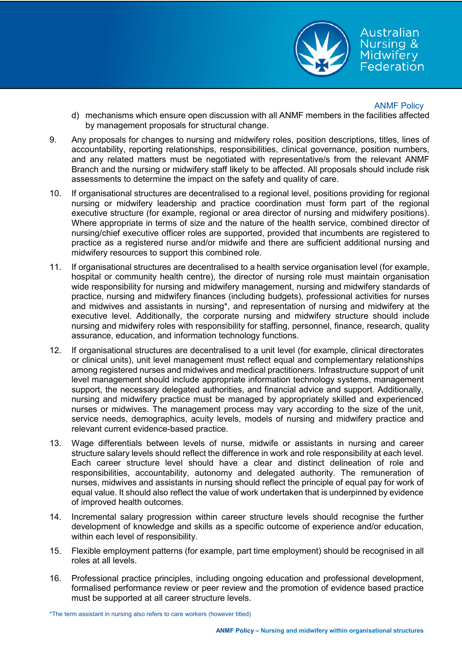

Australian Nursing & Midwifery Federation

## ANMF Policy

- d) mechanisms which ensure open discussion with all ANMF members in the facilities affected by management proposals for structural change.
- 9. Any proposals for changes to nursing and midwifery roles, position descriptions, titles, lines of accountability, reporting relationships, responsibilities, clinical governance, position numbers, and any related matters must be negotiated with representative/s from the relevant ANMF Branch and the nursing or midwifery staff likely to be affected. All proposals should include risk assessments to determine the impact on the safety and quality of care.
- 10. If organisational structures are decentralised to a regional level, positions providing for regional nursing or midwifery leadership and practice coordination must form part of the regional executive structure (for example, regional or area director of nursing and midwifery positions). Where appropriate in terms of size and the nature of the health service, combined director of nursing/chief executive officer roles are supported, provided that incumbents are registered to practice as a registered nurse and/or midwife and there are sufficient additional nursing and midwifery resources to support this combined role.
- 11. If organisational structures are decentralised to a health service organisation level (for example, hospital or community health centre), the director of nursing role must maintain organisation wide responsibility for nursing and midwifery management, nursing and midwifery standards of practice, nursing and midwifery finances (including budgets), professional activities for nurses and midwives and assistants in nursing\*, and representation of nursing and midwifery at the executive level. Additionally, the corporate nursing and midwifery structure should include nursing and midwifery roles with responsibility for staffing, personnel, finance, research, quality assurance, education, and information technology functions.
- 12. If organisational structures are decentralised to a unit level (for example, clinical directorates or clinical units), unit level management must reflect equal and complementary relationships among registered nurses and midwives and medical practitioners. Infrastructure support of unit level management should include appropriate information technology systems, management support, the necessary delegated authorities, and financial advice and support. Additionally, nursing and midwifery practice must be managed by appropriately skilled and experienced nurses or midwives. The management process may vary according to the size of the unit, service needs, demographics, acuity levels, models of nursing and midwifery practice and relevant current evidence-based practice.
- 13. Wage differentials between levels of nurse, midwife or assistants in nursing and career structure salary levels should reflect the difference in work and role responsibility at each level. Each career structure level should have a clear and distinct delineation of role and responsibilities, accountability, autonomy and delegated authority. The remuneration of nurses, midwives and assistants in nursing should reflect the principle of equal pay for work of equal value. It should also reflect the value of work undertaken that is underpinned by evidence of improved health outcomes.
- 14. Incremental salary progression within career structure levels should recognise the further development of knowledge and skills as a specific outcome of experience and/or education, within each level of responsibility.
- 15. Flexible employment patterns (for example, part time employment) should be recognised in all roles at all levels.
- 16. Professional practice principles, including ongoing education and professional development, formalised performance review or peer review and the promotion of evidence based practice must be supported at all career structure levels.